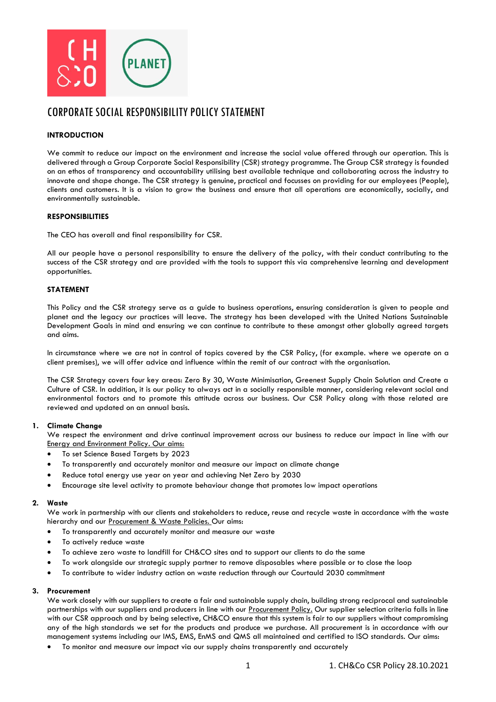

# CORPORATE SOCIAL RESPONSIBILITY POLICY STATEMENT

# **INTRODUCTION**

We commit to reduce our impact on the environment and increase the social value offered through our operation. This is delivered through a Group Corporate Social Responsibility (CSR) strategy programme. The Group CSR strategy is founded on an ethos of transparency and accountability utilising best available technique and collaborating across the industry to innovate and shape change. The CSR strategy is genuine, practical and focusses on providing for our employees (People), clients and customers. It is a vision to grow the business and ensure that all operations are economically, socially, and environmentally sustainable.

## **RESPONSIBILITIES**

The CEO has overall and final responsibility for CSR.

All our people have a personal responsibility to ensure the delivery of the policy, with their conduct contributing to the success of the CSR strategy and are provided with the tools to support this via comprehensive learning and development opportunities.

## **STATEMENT**

This Policy and the CSR strategy serve as a guide to business operations, ensuring consideration is given to people and planet and the legacy our practices will leave. The strategy has been developed with the United Nations Sustainable Development Goals in mind and ensuring we can continue to contribute to these amongst other globally agreed targets and aims.

In circumstance where we are not in control of topics covered by the CSR Policy, (for example. where we operate on a client premises), we will offer advice and influence within the remit of our contract with the organisation.

The CSR Strategy covers four key areas: Zero By 30, Waste Minimisation, Greenest Supply Chain Solution and Create a Culture of CSR. In addition, it is our policy to always act in a socially responsible manner, considering relevant social and environmental factors and to promote this attitude across our business. Our CSR Policy along with those related are reviewed and updated on an annual basis.

#### **1. Climate Change**

We respect the environment and drive continual improvement across our business to reduce our impact in line with our Energy and Environment Policy. Our aims:

- To set Science Based Targets by 2023
- To transparently and accurately monitor and measure our impact on climate change
- Reduce total energy use year on year and achieving Net Zero by 2030
- Encourage site level activity to promote behaviour change that promotes low impact operations

#### **2. Waste**

We work in partnership with our clients and stakeholders to reduce, reuse and recycle waste in accordance with the waste hierarchy and our Procurement & Waste Policies. Our aims:

- To transparently and accurately monitor and measure our waste
- To actively reduce waste
- To achieve zero waste to landfill for CH&CO sites and to support our clients to do the same
- To work alongside our strategic supply partner to remove disposables where possible or to close the loop
- To contribute to wider industry action on waste reduction through our Courtauld 2030 commitment

## **3. Procurement**

We work closely with our suppliers to create a fair and sustainable supply chain, building strong reciprocal and sustainable partnerships with our suppliers and producers in line with our Procurement Policy. Our supplier selection criteria falls in line with our CSR approach and by being selective, CH&CO ensure that this system is fair to our suppliers without compromising any of the high standards we set for the products and produce we purchase. All procurement is in accordance with our management systems including our IMS, EMS, EnMS and QMS all maintained and certified to ISO standards. Our aims:

• To monitor and measure our impact via our supply chains transparently and accurately